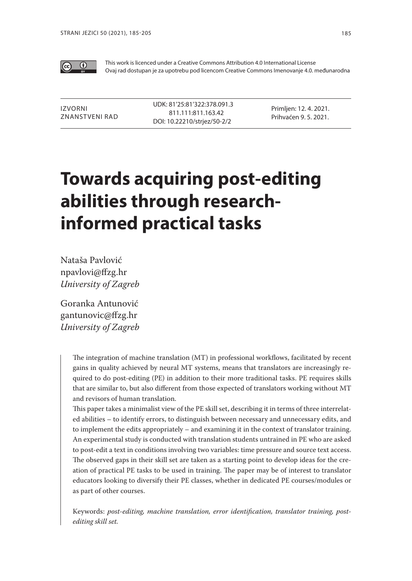

This work is licenced under a Creative Commons Attribution 4.0 International License Ovaj rad dostupan je za upotrebu pod licencom Creative Commons Imenovanje 4.0. međunarodna

Izvorni znanstveni rad UDK: 81'25:81'322:378.091.3 811.111:811.163.42 DOI: 10.22210/strjez/50-2/2

Primljen: 12. 4. 2021. Prihvaćen 9. 5. 2021.

# **Towards acquiring post-editing abilities through researchinformed practical tasks**

Nataša Pavlović npavlovi@ffzg.hr *University of Zagreb*

Goranka Antunović gantunovic@ffzg.hr *University of Zagreb*

> The integration of machine translation (MT) in professional workflows, facilitated by recent gains in quality achieved by neural MT systems, means that translators are increasingly required to do post-editing (PE) in addition to their more traditional tasks. PE requires skills that are similar to, but also different from those expected of translators working without MT and revisors of human translation.

> This paper takes a minimalist view of the PE skill set, describing it in terms of three interrelated abilities – to identify errors, to distinguish between necessary and unnecessary edits, and to implement the edits appropriately – and examining it in the context of translator training. An experimental study is conducted with translation students untrained in PE who are asked to post-edit a text in conditions involving two variables: time pressure and source text access. The observed gaps in their skill set are taken as a starting point to develop ideas for the creation of practical PE tasks to be used in training. The paper may be of interest to translator educators looking to diversify their PE classes, whether in dedicated PE courses/modules or as part of other courses.

> Keywords: *post-editing, machine translation, error identification, translator training, postediting skill set.*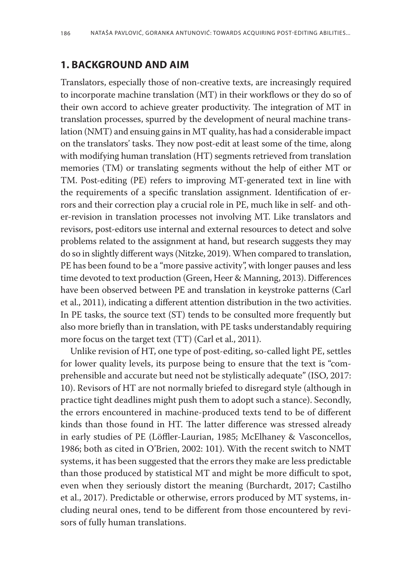## **1. BACKGROUND AND AIM**

Translators, especially those of non-creative texts, are increasingly required to incorporate machine translation (MT) in their workflows or they do so of their own accord to achieve greater productivity. The integration of MT in translation processes, spurred by the development of neural machine translation (NMT) and ensuing gains in MT quality, has had a considerable impact on the translators' tasks. They now post-edit at least some of the time, along with modifying human translation (HT) segments retrieved from translation memories (TM) or translating segments without the help of either MT or TM. Post-editing (PE) refers to improving MT-generated text in line with the requirements of a specific translation assignment. Identification of errors and their correction play a crucial role in PE, much like in self- and other-revision in translation processes not involving MT. Like translators and revisors, post-editors use internal and external resources to detect and solve problems related to the assignment at hand, but research suggests they may do so in slightly different ways (Nitzke, 2019). When compared to translation, PE has been found to be a "more passive activity", with longer pauses and less time devoted to text production (Green, Heer & Manning, 2013). Differences have been observed between PE and translation in keystroke patterns (Carl et al., 2011), indicating a different attention distribution in the two activities. In PE tasks, the source text (ST) tends to be consulted more frequently but also more briefly than in translation, with PE tasks understandably requiring more focus on the target text (TT) (Carl et al., 2011).

Unlike revision of HT, one type of post-editing, so-called light PE, settles for lower quality levels, its purpose being to ensure that the text is "comprehensible and accurate but need not be stylistically adequate" (ISO, 2017: 10). Revisors of HT are not normally briefed to disregard style (although in practice tight deadlines might push them to adopt such a stance). Secondly, the errors encountered in machine-produced texts tend to be of different kinds than those found in HT. The latter difference was stressed already in early studies of PE (Löffler-Laurian, 1985; McElhaney & Vasconcellos, 1986; both as cited in O'Brien, 2002: 101). With the recent switch to NMT systems, it has been suggested that the errors they make are less predictable than those produced by statistical MT and might be more difficult to spot, even when they seriously distort the meaning (Burchardt, 2017; Castilho et al., 2017). Predictable or otherwise, errors produced by MT systems, including neural ones, tend to be different from those encountered by revisors of fully human translations.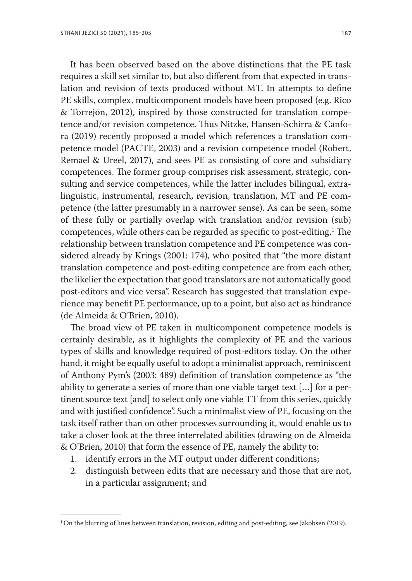It has been observed based on the above distinctions that the PE task requires a skill set similar to, but also different from that expected in translation and revision of texts produced without MT. In attempts to define PE skills, complex, multicomponent models have been proposed (e.g. Rico & Torrejón, 2012), inspired by those constructed for translation competence and/or revision competence. Thus Nitzke, Hansen-Schirra & Canfora (2019) recently proposed a model which references a translation competence model (PACTE, 2003) and a revision competence model (Robert, Remael & Ureel, 2017), and sees PE as consisting of core and subsidiary competences. The former group comprises risk assessment, strategic, consulting and service competences, while the latter includes bilingual, extralinguistic, instrumental, research, revision, translation, MT and PE competence (the latter presumably in a narrower sense). As can be seen, some of these fully or partially overlap with translation and/or revision (sub) competences, while others can be regarded as specific to post-editing.1 The relationship between translation competence and PE competence was considered already by Krings (2001: 174), who posited that "the more distant translation competence and post-editing competence are from each other, the likelier the expectation that good translators are not automatically good post-editors and vice versa". Research has suggested that translation experience may benefit PE performance, up to a point, but also act as hindrance (de Almeida & O'Brien, 2010).

The broad view of PE taken in multicomponent competence models is certainly desirable, as it highlights the complexity of PE and the various types of skills and knowledge required of post-editors today. On the other hand, it might be equally useful to adopt a minimalist approach, reminiscent of Anthony Pym's (2003: 489) definition of translation competence as "the ability to generate a series of more than one viable target text […] for a pertinent source text [and] to select only one viable TT from this series, quickly and with justified confidence". Such a minimalist view of PE, focusing on the task itself rather than on other processes surrounding it, would enable us to take a closer look at the three interrelated abilities (drawing on de Almeida & O'Brien, 2010) that form the essence of PE, namely the ability to:

- 1. identify errors in the MT output under different conditions;
- 2. distinguish between edits that are necessary and those that are not, in a particular assignment; and

<sup>1</sup> On the blurring of lines between translation, revision, editing and post-editing, see Jakobsen (2019).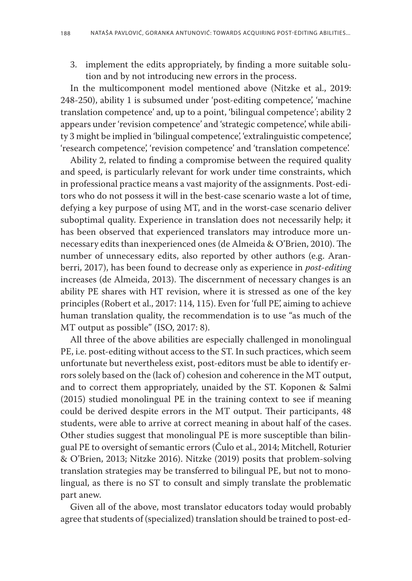3. implement the edits appropriately, by finding a more suitable solution and by not introducing new errors in the process.

In the multicomponent model mentioned above (Nitzke et al., 2019: 248-250), ability 1 is subsumed under 'post-editing competence', 'machine translation competence' and, up to a point, 'bilingual competence'; ability 2 appears under 'revision competence' and 'strategic competence', while ability 3 might be implied in 'bilingual competence', 'extralinguistic competence', 'research competence', 'revision competence' and 'translation competence'.

Ability 2, related to finding a compromise between the required quality and speed, is particularly relevant for work under time constraints, which in professional practice means a vast majority of the assignments. Post-editors who do not possess it will in the best-case scenario waste a lot of time, defying a key purpose of using MT, and in the worst-case scenario deliver suboptimal quality. Experience in translation does not necessarily help; it has been observed that experienced translators may introduce more unnecessary edits than inexperienced ones (de Almeida & O'Brien, 2010). The number of unnecessary edits, also reported by other authors (e.g. Aranberri, 2017), has been found to decrease only as experience in *post-editing* increases (de Almeida, 2013). The discernment of necessary changes is an ability PE shares with HT revision, where it is stressed as one of the key principles (Robert et al., 2017: 114, 115). Even for 'full PE', aiming to achieve human translation quality, the recommendation is to use "as much of the MT output as possible" (ISO, 2017: 8).

All three of the above abilities are especially challenged in monolingual PE, i.e. post-editing without access to the ST. In such practices, which seem unfortunate but nevertheless exist, post-editors must be able to identify errors solely based on the (lack of) cohesion and coherence in the MT output, and to correct them appropriately, unaided by the ST. Koponen & Salmi (2015) studied monolingual PE in the training context to see if meaning could be derived despite errors in the MT output. Their participants, 48 students, were able to arrive at correct meaning in about half of the cases. Other studies suggest that monolingual PE is more susceptible than bilingual PE to oversight of semantic errors (Čulo et al., 2014; Mitchell, Roturier & O'Brien, 2013; Nitzke 2016). Nitzke (2019) posits that problem-solving translation strategies may be transferred to bilingual PE, but not to monolingual, as there is no ST to consult and simply translate the problematic part anew.

Given all of the above, most translator educators today would probably agree that students of (specialized) translation should be trained to post-ed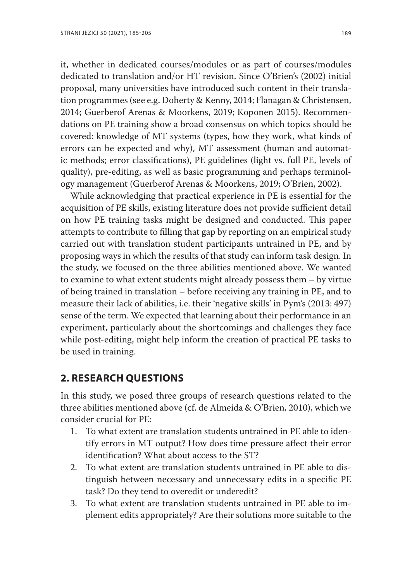it, whether in dedicated courses/modules or as part of courses/modules dedicated to translation and/or HT revision. Since O'Brien's (2002) initial proposal, many universities have introduced such content in their translation programmes (see e.g. Doherty & Kenny, 2014; Flanagan & Christensen, 2014; Guerberof Arenas & Moorkens, 2019; Koponen 2015). Recommendations on PE training show a broad consensus on which topics should be covered: knowledge of MT systems (types, how they work, what kinds of errors can be expected and why), MT assessment (human and automatic methods; error classifications), PE guidelines (light vs. full PE, levels of quality), pre-editing, as well as basic programming and perhaps terminology management (Guerberof Arenas & Moorkens, 2019; O'Brien, 2002).

While acknowledging that practical experience in PE is essential for the acquisition of PE skills, existing literature does not provide sufficient detail on how PE training tasks might be designed and conducted. This paper attempts to contribute to filling that gap by reporting on an empirical study carried out with translation student participants untrained in PE, and by proposing ways in which the results of that study can inform task design. In the study, we focused on the three abilities mentioned above. We wanted to examine to what extent students might already possess them – by virtue of being trained in translation – before receiving any training in PE, and to measure their lack of abilities, i.e. their 'negative skills' in Pym's (2013: 497) sense of the term. We expected that learning about their performance in an experiment, particularly about the shortcomings and challenges they face while post-editing, might help inform the creation of practical PE tasks to be used in training.

### **2. RESEARCH QUESTIONS**

In this study, we posed three groups of research questions related to the three abilities mentioned above (cf. de Almeida & O'Brien, 2010), which we consider crucial for PE:

- 1. To what extent are translation students untrained in PE able to identify errors in MT output? How does time pressure affect their error identification? What about access to the ST?
- 2. To what extent are translation students untrained in PE able to distinguish between necessary and unnecessary edits in a specific PE task? Do they tend to overedit or underedit?
- 3. To what extent are translation students untrained in PE able to implement edits appropriately? Are their solutions more suitable to the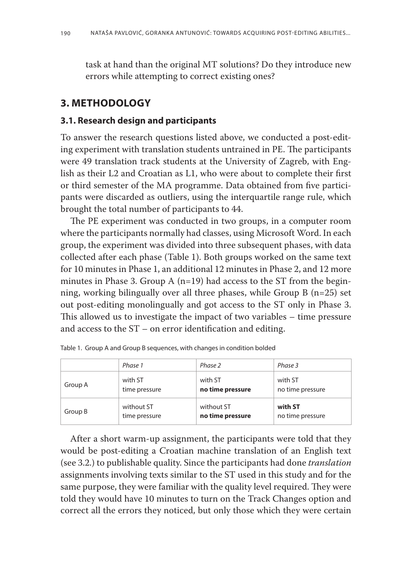task at hand than the original MT solutions? Do they introduce new errors while attempting to correct existing ones?

## **3. METHODOLOGY**

#### **3.1. Research design and participants**

To answer the research questions listed above, we conducted a post-editing experiment with translation students untrained in PE. The participants were 49 translation track students at the University of Zagreb, with English as their L2 and Croatian as L1, who were about to complete their first or third semester of the MA programme. Data obtained from five participants were discarded as outliers, using the interquartile range rule, which brought the total number of participants to 44.

The PE experiment was conducted in two groups, in a computer room where the participants normally had classes, using Microsoft Word. In each group, the experiment was divided into three subsequent phases, with data collected after each phase (Table 1). Both groups worked on the same text for 10 minutes in Phase 1, an additional 12 minutes in Phase 2, and 12 more minutes in Phase 3. Group A ( $n=19$ ) had access to the ST from the beginning, working bilingually over all three phases, while Group B (n=25) set out post-editing monolingually and got access to the ST only in Phase 3. This allowed us to investigate the impact of two variables – time pressure and access to the ST – on error identification and editing.

|         | Phase 1       | Phase 2          | Phase 3          |  |  |
|---------|---------------|------------------|------------------|--|--|
| Group A | with ST       | with ST          | with ST          |  |  |
|         | time pressure | no time pressure | no time pressure |  |  |
| Group B | without ST    | without ST       | with ST          |  |  |
|         | time pressure | no time pressure | no time pressure |  |  |

|  |  | Table 1. Group A and Group B sequences, with changes in condition bolded |
|--|--|--------------------------------------------------------------------------|
|  |  |                                                                          |

After a short warm-up assignment, the participants were told that they would be post-editing a Croatian machine translation of an English text (see 3.2.) to publishable quality. Since the participants had done *translation* assignments involving texts similar to the ST used in this study and for the same purpose, they were familiar with the quality level required. They were told they would have 10 minutes to turn on the Track Changes option and correct all the errors they noticed, but only those which they were certain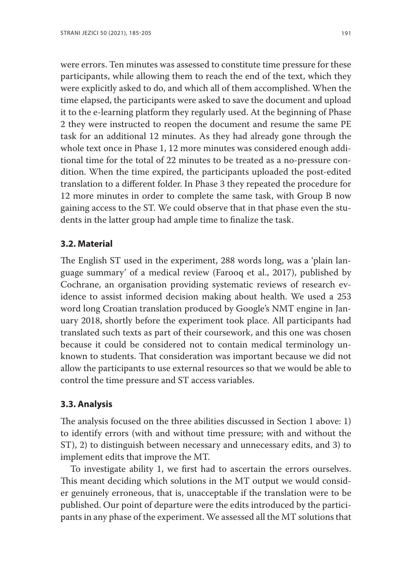were errors. Ten minutes was assessed to constitute time pressure for these participants, while allowing them to reach the end of the text, which they were explicitly asked to do, and which all of them accomplished. When the time elapsed, the participants were asked to save the document and upload it to the e-learning platform they regularly used. At the beginning of Phase 2 they were instructed to reopen the document and resume the same PE task for an additional 12 minutes. As they had already gone through the whole text once in Phase 1, 12 more minutes was considered enough additional time for the total of 22 minutes to be treated as a no-pressure condition. When the time expired, the participants uploaded the post-edited translation to a different folder. In Phase 3 they repeated the procedure for 12 more minutes in order to complete the same task, with Group B now gaining access to the ST. We could observe that in that phase even the students in the latter group had ample time to finalize the task.

#### **3.2. Material**

The English ST used in the experiment, 288 words long, was a 'plain language summary' of a medical review (Farooq et al., 2017), published by Cochrane, an organisation providing systematic reviews of research evidence to assist informed decision making about health. We used a 253 word long Croatian translation produced by Google's NMT engine in January 2018, shortly before the experiment took place. All participants had translated such texts as part of their coursework, and this one was chosen because it could be considered not to contain medical terminology unknown to students. That consideration was important because we did not allow the participants to use external resources so that we would be able to control the time pressure and ST access variables.

#### **3.3. Analysis**

The analysis focused on the three abilities discussed in Section 1 above: 1) to identify errors (with and without time pressure; with and without the ST), 2) to distinguish between necessary and unnecessary edits, and 3) to implement edits that improve the MT.

To investigate ability 1, we first had to ascertain the errors ourselves. This meant deciding which solutions in the MT output we would consider genuinely erroneous, that is, unacceptable if the translation were to be published. Our point of departure were the edits introduced by the participants in any phase of the experiment. We assessed all the MT solutions that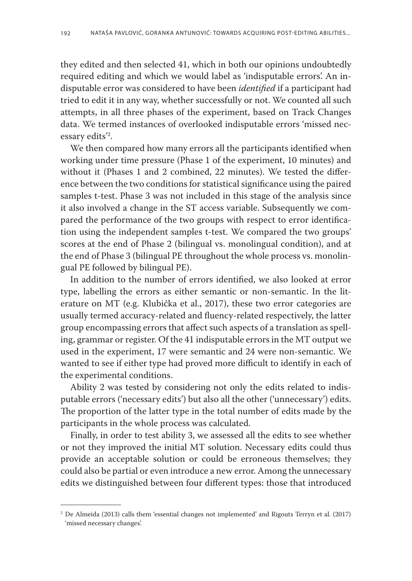they edited and then selected 41, which in both our opinions undoubtedly required editing and which we would label as 'indisputable errors'. An indisputable error was considered to have been *identified* if a participant had tried to edit it in any way, whether successfully or not. We counted all such attempts, in all three phases of the experiment, based on Track Changes data. We termed instances of overlooked indisputable errors 'missed necessary edits'2 .

We then compared how many errors all the participants identified when working under time pressure (Phase 1 of the experiment, 10 minutes) and without it (Phases 1 and 2 combined, 22 minutes). We tested the difference between the two conditions for statistical significance using the paired samples t-test. Phase 3 was not included in this stage of the analysis since it also involved a change in the ST access variable. Subsequently we compared the performance of the two groups with respect to error identification using the independent samples t-test. We compared the two groups' scores at the end of Phase 2 (bilingual vs. monolingual condition), and at the end of Phase 3 (bilingual PE throughout the whole process vs. monolingual PE followed by bilingual PE).

In addition to the number of errors identified, we also looked at error type, labelling the errors as either semantic or non-semantic. In the literature on MT (e.g. Klubička et al., 2017), these two error categories are usually termed accuracy-related and fluency-related respectively, the latter group encompassing errors that affect such aspects of a translation as spelling, grammar or register. Of the 41 indisputable errors in the MT output we used in the experiment, 17 were semantic and 24 were non-semantic. We wanted to see if either type had proved more difficult to identify in each of the experimental conditions.

Ability 2 was tested by considering not only the edits related to indisputable errors ('necessary edits') but also all the other ('unnecessary') edits. The proportion of the latter type in the total number of edits made by the participants in the whole process was calculated.

Finally, in order to test ability 3, we assessed all the edits to see whether or not they improved the initial MT solution. Necessary edits could thus provide an acceptable solution or could be erroneous themselves; they could also be partial or even introduce a new error. Among the unnecessary edits we distinguished between four different types: those that introduced

<sup>2</sup> De Almeida (2013) calls them 'essential changes not implemented' and Rigouts Terryn et al. (2017) 'missed necessary changes'.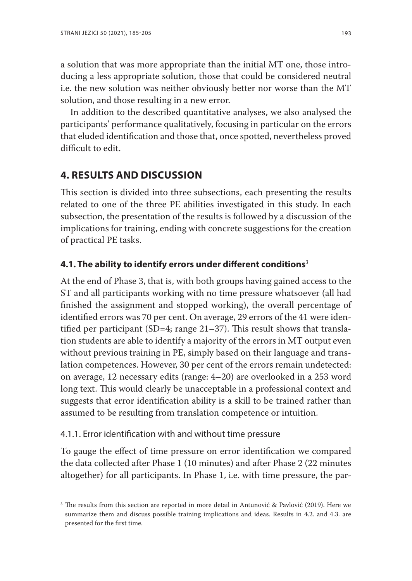a solution that was more appropriate than the initial MT one, those introducing a less appropriate solution, those that could be considered neutral i.e. the new solution was neither obviously better nor worse than the MT solution, and those resulting in a new error.

In addition to the described quantitative analyses, we also analysed the participants' performance qualitatively, focusing in particular on the errors that eluded identification and those that, once spotted, nevertheless proved difficult to edit.

## **4. RESULTS AND DISCUSSION**

This section is divided into three subsections, each presenting the results related to one of the three PE abilities investigated in this study. In each subsection, the presentation of the results is followed by a discussion of the implications for training, ending with concrete suggestions for the creation of practical PE tasks.

## **4.1. The ability to identify errors under different conditions**<sup>3</sup>

At the end of Phase 3, that is, with both groups having gained access to the ST and all participants working with no time pressure whatsoever (all had finished the assignment and stopped working), the overall percentage of identified errors was 70 per cent. On average, 29 errors of the 41 were identified per participant (SD=4; range  $21-37$ ). This result shows that translation students are able to identify a majority of the errors in MT output even without previous training in PE, simply based on their language and translation competences. However, 30 per cent of the errors remain undetected: on average, 12 necessary edits (range: 4–20) are overlooked in a 253 word long text. This would clearly be unacceptable in a professional context and suggests that error identification ability is a skill to be trained rather than assumed to be resulting from translation competence or intuition.

#### 4.1.1. Error identification with and without time pressure

To gauge the effect of time pressure on error identification we compared the data collected after Phase 1 (10 minutes) and after Phase 2 (22 minutes altogether) for all participants. In Phase 1, i.e. with time pressure, the par-

<sup>&</sup>lt;sup>3</sup> The results from this section are reported in more detail in Antunović & Pavlović (2019). Here we summarize them and discuss possible training implications and ideas. Results in 4.2. and 4.3. are presented for the first time.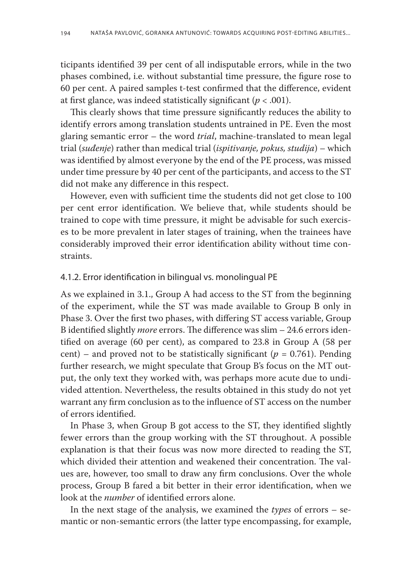ticipants identified 39 per cent of all indisputable errors, while in the two phases combined, i.e. without substantial time pressure, the figure rose to 60 per cent. A paired samples t-test confirmed that the difference, evident at first glance, was indeed statistically significant (*p* < .001).

This clearly shows that time pressure significantly reduces the ability to identify errors among translation students untrained in PE. Even the most glaring semantic error – the word *trial*, machine-translated to mean legal trial (*suđenje*) rather than medical trial (*ispitivanje, pokus, studija*) – which was identified by almost everyone by the end of the PE process, was missed under time pressure by 40 per cent of the participants, and access to the ST did not make any difference in this respect.

However, even with sufficient time the students did not get close to 100 per cent error identification. We believe that, while students should be trained to cope with time pressure, it might be advisable for such exercises to be more prevalent in later stages of training, when the trainees have considerably improved their error identification ability without time constraints.

#### 4.1.2. Error identification in bilingual vs. monolingual PE

As we explained in 3.1., Group A had access to the ST from the beginning of the experiment, while the ST was made available to Group B only in Phase 3. Over the first two phases, with differing ST access variable, Group B identified slightly *more* errors. The difference was slim – 24.6 errors identified on average (60 per cent), as compared to 23.8 in Group A (58 per cent) – and proved not to be statistically significant ( $p = 0.761$ ). Pending further research, we might speculate that Group B's focus on the MT output, the only text they worked with, was perhaps more acute due to undivided attention. Nevertheless, the results obtained in this study do not yet warrant any firm conclusion as to the influence of ST access on the number of errors identified.

In Phase 3, when Group B got access to the ST, they identified slightly fewer errors than the group working with the ST throughout. A possible explanation is that their focus was now more directed to reading the ST, which divided their attention and weakened their concentration. The values are, however, too small to draw any firm conclusions. Over the whole process, Group B fared a bit better in their error identification, when we look at the *number* of identified errors alone.

In the next stage of the analysis, we examined the *types* of errors – semantic or non-semantic errors (the latter type encompassing, for example,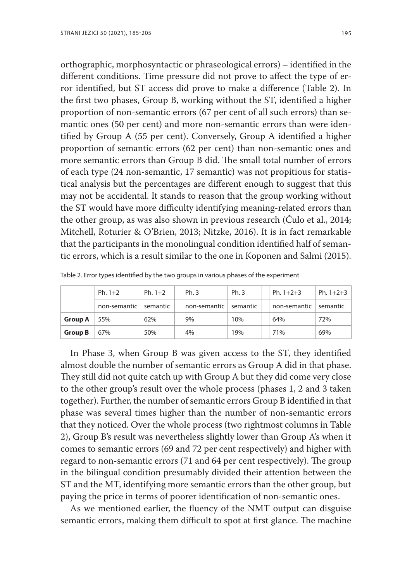orthographic, morphosyntactic or phraseological errors) – identified in the different conditions. Time pressure did not prove to affect the type of error identified, but ST access did prove to make a difference (Table 2). In the first two phases, Group B, working without the ST, identified a higher proportion of non-semantic errors (67 per cent of all such errors) than semantic ones (50 per cent) and more non-semantic errors than were identified by Group A (55 per cent). Conversely, Group A identified a higher proportion of semantic errors (62 per cent) than non-semantic ones and more semantic errors than Group B did. The small total number of errors of each type (24 non-semantic, 17 semantic) was not propitious for statistical analysis but the percentages are different enough to suggest that this may not be accidental. It stands to reason that the group working without the ST would have more difficulty identifying meaning-related errors than the other group, as was also shown in previous research (Čulo et al., 2014; Mitchell, Roturier & O'Brien, 2013; Nitzke, 2016). It is in fact remarkable that the participants in the monolingual condition identified half of semantic errors, which is a result similar to the one in Koponen and Salmi (2015).

|                | Ph. $1+2$    | Ph. $1+2$ | Ph. 3        | Ph. 3    | Ph. $1+2+3$  | Ph. $1+2+3$ |
|----------------|--------------|-----------|--------------|----------|--------------|-------------|
|                | non-semantic | semantic  | non-semantic | semantic | non-semantic | semantic    |
| <b>Group A</b> | 55%          | 62%       | 9%           | 10%      | 64%          | 72%         |
| <b>Group B</b> | 67%          | 50%       | 4%           | 19%      | 71%          | 69%         |

Table 2. Error types identified by the two groups in various phases of the experiment

In Phase 3, when Group B was given access to the ST, they identified almost double the number of semantic errors as Group A did in that phase. They still did not quite catch up with Group A but they did come very close to the other group's result over the whole process (phases 1, 2 and 3 taken together). Further, the number of semantic errors Group B identified in that phase was several times higher than the number of non-semantic errors that they noticed. Over the whole process (two rightmost columns in Table 2), Group B's result was nevertheless slightly lower than Group A's when it comes to semantic errors (69 and 72 per cent respectively) and higher with regard to non-semantic errors (71 and 64 per cent respectively). The group in the bilingual condition presumably divided their attention between the ST and the MT, identifying more semantic errors than the other group, but paying the price in terms of poorer identification of non-semantic ones.

As we mentioned earlier, the fluency of the NMT output can disguise semantic errors, making them difficult to spot at first glance. The machine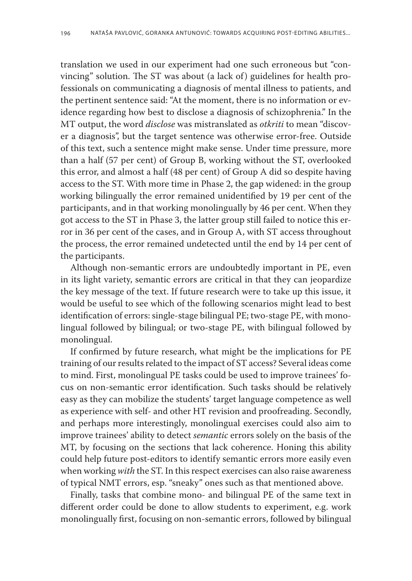translation we used in our experiment had one such erroneous but "convincing" solution. The ST was about (a lack of) guidelines for health professionals on communicating a diagnosis of mental illness to patients, and the pertinent sentence said: "At the moment, there is no information or evidence regarding how best to disclose a diagnosis of schizophrenia." In the MT output, the word *disclose* was mistranslated as *otkriti* to mean "discover a diagnosis", but the target sentence was otherwise error-free. Outside of this text, such a sentence might make sense. Under time pressure, more than a half (57 per cent) of Group B, working without the ST, overlooked this error, and almost a half (48 per cent) of Group A did so despite having access to the ST. With more time in Phase 2, the gap widened: in the group working bilingually the error remained unidentified by 19 per cent of the participants, and in that working monolingually by 46 per cent. When they got access to the ST in Phase 3, the latter group still failed to notice this error in 36 per cent of the cases, and in Group A, with ST access throughout the process, the error remained undetected until the end by 14 per cent of the participants.

Although non-semantic errors are undoubtedly important in PE, even in its light variety, semantic errors are critical in that they can jeopardize the key message of the text. If future research were to take up this issue, it would be useful to see which of the following scenarios might lead to best identification of errors: single-stage bilingual PE; two-stage PE, with monolingual followed by bilingual; or two-stage PE, with bilingual followed by monolingual.

If confirmed by future research, what might be the implications for PE training of our results related to the impact of ST access? Several ideas come to mind. First, monolingual PE tasks could be used to improve trainees' focus on non-semantic error identification. Such tasks should be relatively easy as they can mobilize the students' target language competence as well as experience with self- and other HT revision and proofreading. Secondly, and perhaps more interestingly, monolingual exercises could also aim to improve trainees' ability to detect *semantic* errors solely on the basis of the MT, by focusing on the sections that lack coherence. Honing this ability could help future post-editors to identify semantic errors more easily even when working *with* the ST. In this respect exercises can also raise awareness of typical NMT errors, esp. "sneaky" ones such as that mentioned above.

Finally, tasks that combine mono- and bilingual PE of the same text in different order could be done to allow students to experiment, e.g. work monolingually first, focusing on non-semantic errors, followed by bilingual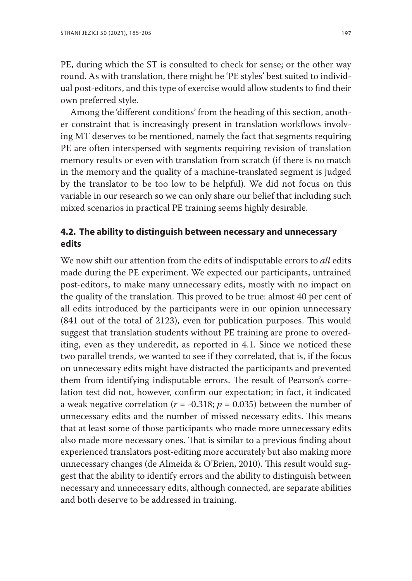PE, during which the ST is consulted to check for sense; or the other way round. As with translation, there might be 'PE styles' best suited to individual post-editors, and this type of exercise would allow students to find their own preferred style.

Among the 'different conditions' from the heading of this section, another constraint that is increasingly present in translation workflows involving MT deserves to be mentioned, namely the fact that segments requiring PE are often interspersed with segments requiring revision of translation memory results or even with translation from scratch (if there is no match in the memory and the quality of a machine-translated segment is judged by the translator to be too low to be helpful). We did not focus on this variable in our research so we can only share our belief that including such mixed scenarios in practical PE training seems highly desirable.

## **4.2. The ability to distinguish between necessary and unnecessary edits**

We now shift our attention from the edits of indisputable errors to *all* edits made during the PE experiment. We expected our participants, untrained post-editors, to make many unnecessary edits, mostly with no impact on the quality of the translation. This proved to be true: almost 40 per cent of all edits introduced by the participants were in our opinion unnecessary (841 out of the total of 2123), even for publication purposes. This would suggest that translation students without PE training are prone to overediting, even as they underedit, as reported in 4.1. Since we noticed these two parallel trends, we wanted to see if they correlated, that is, if the focus on unnecessary edits might have distracted the participants and prevented them from identifying indisputable errors. The result of Pearson's correlation test did not, however, confirm our expectation; in fact, it indicated a weak negative correlation ( $r = -0.318$ ;  $p = 0.035$ ) between the number of unnecessary edits and the number of missed necessary edits. This means that at least some of those participants who made more unnecessary edits also made more necessary ones. That is similar to a previous finding about experienced translators post-editing more accurately but also making more unnecessary changes (de Almeida & O'Brien, 2010). This result would suggest that the ability to identify errors and the ability to distinguish between necessary and unnecessary edits, although connected, are separate abilities and both deserve to be addressed in training.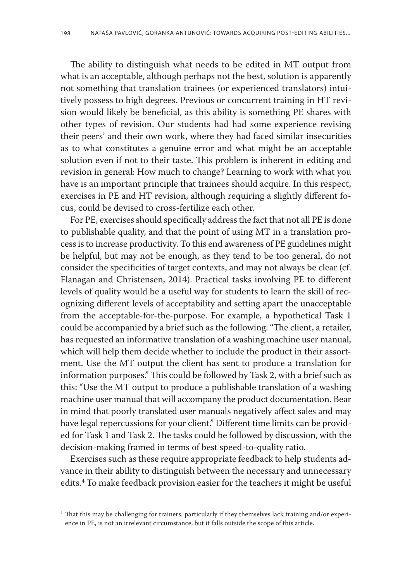The ability to distinguish what needs to be edited in MT output from what is an acceptable, although perhaps not the best, solution is apparently not something that translation trainees (or experienced translators) intuitively possess to high degrees. Previous or concurrent training in HT revision would likely be beneficial, as this ability is something PE shares with other types of revision. Our students had had some experience revising their peers' and their own work, where they had faced similar insecurities as to what constitutes a genuine error and what might be an acceptable solution even if not to their taste. This problem is inherent in editing and revision in general: How much to change? Learning to work with what you have is an important principle that trainees should acquire. In this respect, exercises in PE and HT revision, although requiring a slightly different focus, could be devised to cross-fertilize each other.

For PE, exercises should specifically address the fact that not all PE is done to publishable quality, and that the point of using MT in a translation process is to increase productivity. To this end awareness of PE guidelines might be helpful, but may not be enough, as they tend to be too general, do not consider the specificities of target contexts, and may not always be clear (cf. Flanagan and Christensen, 2014). Practical tasks involving PE to different levels of quality would be a useful way for students to learn the skill of recognizing different levels of acceptability and setting apart the unacceptable from the acceptable-for-the-purpose. For example, a hypothetical Task 1 could be accompanied by a brief such as the following: "The client, a retailer, has requested an informative translation of a washing machine user manual, which will help them decide whether to include the product in their assortment. Use the MT output the client has sent to produce a translation for information purposes." This could be followed by Task 2, with a brief such as this: "Use the MT output to produce a publishable translation of a washing machine user manual that will accompany the product documentation. Bear in mind that poorly translated user manuals negatively affect sales and may have legal repercussions for your client." Different time limits can be provided for Task 1 and Task 2. The tasks could be followed by discussion, with the decision-making framed in terms of best speed-to-quality ratio.

Exercises such as these require appropriate feedback to help students advance in their ability to distinguish between the necessary and unnecessary edits.4 To make feedback provision easier for the teachers it might be useful

<sup>4</sup> That this may be challenging for trainers, particularly if they themselves lack training and/or experience in PE, is not an irrelevant circumstance, but it falls outside the scope of this article.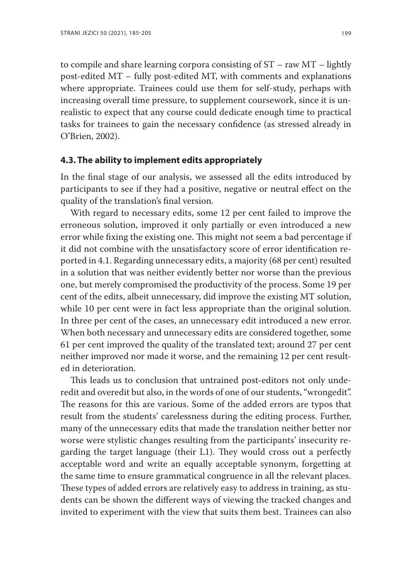to compile and share learning corpora consisting of ST – raw MT – lightly post-edited MT – fully post-edited MT, with comments and explanations where appropriate. Trainees could use them for self-study, perhaps with increasing overall time pressure, to supplement coursework, since it is unrealistic to expect that any course could dedicate enough time to practical tasks for trainees to gain the necessary confidence (as stressed already in O'Brien, 2002).

#### **4.3. The ability to implement edits appropriately**

In the final stage of our analysis, we assessed all the edits introduced by participants to see if they had a positive, negative or neutral effect on the quality of the translation's final version.

With regard to necessary edits, some 12 per cent failed to improve the erroneous solution, improved it only partially or even introduced a new error while fixing the existing one. This might not seem a bad percentage if it did not combine with the unsatisfactory score of error identification reported in 4.1. Regarding unnecessary edits, a majority (68 per cent) resulted in a solution that was neither evidently better nor worse than the previous one, but merely compromised the productivity of the process. Some 19 per cent of the edits, albeit unnecessary, did improve the existing MT solution, while 10 per cent were in fact less appropriate than the original solution. In three per cent of the cases, an unnecessary edit introduced a new error. When both necessary and unnecessary edits are considered together, some 61 per cent improved the quality of the translated text; around 27 per cent neither improved nor made it worse, and the remaining 12 per cent resulted in deterioration.

This leads us to conclusion that untrained post-editors not only underedit and overedit but also, in the words of one of our students, "wrongedit". The reasons for this are various. Some of the added errors are typos that result from the students' carelessness during the editing process. Further, many of the unnecessary edits that made the translation neither better nor worse were stylistic changes resulting from the participants' insecurity regarding the target language (their L1). They would cross out a perfectly acceptable word and write an equally acceptable synonym, forgetting at the same time to ensure grammatical congruence in all the relevant places. These types of added errors are relatively easy to address in training, as students can be shown the different ways of viewing the tracked changes and invited to experiment with the view that suits them best. Trainees can also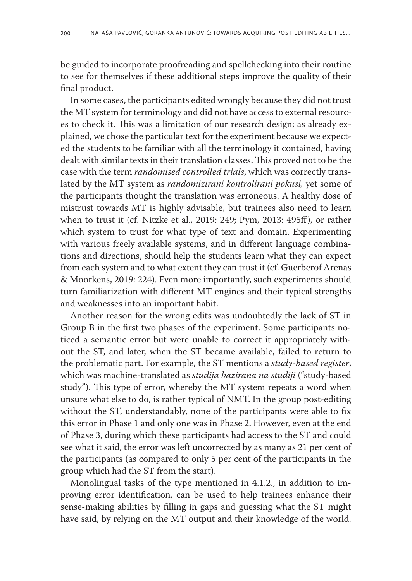be guided to incorporate proofreading and spellchecking into their routine to see for themselves if these additional steps improve the quality of their final product.

In some cases, the participants edited wrongly because they did not trust the MT system for terminology and did not have access to external resources to check it. This was a limitation of our research design; as already explained, we chose the particular text for the experiment because we expected the students to be familiar with all the terminology it contained, having dealt with similar texts in their translation classes. This proved not to be the case with the term *randomised controlled trials*, which was correctly translated by the MT system as *randomizirani kontrolirani pokusi,* yet some of the participants thought the translation was erroneous. A healthy dose of mistrust towards MT is highly advisable, but trainees also need to learn when to trust it (cf. Nitzke et al., 2019: 249; Pym, 2013: 495ff), or rather which system to trust for what type of text and domain. Experimenting with various freely available systems, and in different language combinations and directions, should help the students learn what they can expect from each system and to what extent they can trust it (cf. Guerberof Arenas & Moorkens, 2019: 224). Even more importantly, such experiments should turn familiarization with different MT engines and their typical strengths and weaknesses into an important habit.

Another reason for the wrong edits was undoubtedly the lack of ST in Group B in the first two phases of the experiment. Some participants noticed a semantic error but were unable to correct it appropriately without the ST, and later, when the ST became available, failed to return to the problematic part. For example, the ST mentions a *study-based register*, which was machine-translated as *studija bazirana na studiji* ("study-based study"). This type of error, whereby the MT system repeats a word when unsure what else to do, is rather typical of NMT. In the group post-editing without the ST, understandably, none of the participants were able to fix this error in Phase 1 and only one was in Phase 2. However, even at the end of Phase 3, during which these participants had access to the ST and could see what it said, the error was left uncorrected by as many as 21 per cent of the participants (as compared to only 5 per cent of the participants in the group which had the ST from the start).

Monolingual tasks of the type mentioned in 4.1.2., in addition to improving error identification, can be used to help trainees enhance their sense-making abilities by filling in gaps and guessing what the ST might have said, by relying on the MT output and their knowledge of the world.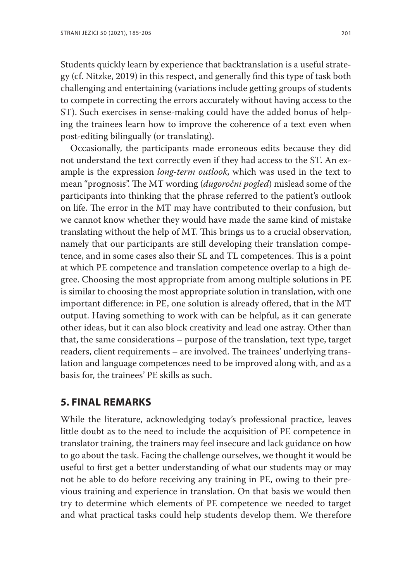Students quickly learn by experience that backtranslation is a useful strategy (cf. Nitzke, 2019) in this respect, and generally find this type of task both challenging and entertaining (variations include getting groups of students to compete in correcting the errors accurately without having access to the ST). Such exercises in sense-making could have the added bonus of helping the trainees learn how to improve the coherence of a text even when post-editing bilingually (or translating).

Occasionally, the participants made erroneous edits because they did not understand the text correctly even if they had access to the ST. An example is the expression *long-term outlook*, which was used in the text to mean "prognosis". The MT wording (*dugoročni pogled*) mislead some of the participants into thinking that the phrase referred to the patient's outlook on life. The error in the MT may have contributed to their confusion, but we cannot know whether they would have made the same kind of mistake translating without the help of MT. This brings us to a crucial observation, namely that our participants are still developing their translation competence, and in some cases also their SL and TL competences. This is a point at which PE competence and translation competence overlap to a high degree. Choosing the most appropriate from among multiple solutions in PE is similar to choosing the most appropriate solution in translation, with one important difference: in PE, one solution is already offered, that in the MT output. Having something to work with can be helpful, as it can generate other ideas, but it can also block creativity and lead one astray. Other than that, the same considerations – purpose of the translation, text type, target readers, client requirements – are involved. The trainees' underlying translation and language competences need to be improved along with, and as a basis for, the trainees' PE skills as such.

## **5. FINAL REMARKS**

While the literature, acknowledging today's professional practice, leaves little doubt as to the need to include the acquisition of PE competence in translator training, the trainers may feel insecure and lack guidance on how to go about the task. Facing the challenge ourselves, we thought it would be useful to first get a better understanding of what our students may or may not be able to do before receiving any training in PE, owing to their previous training and experience in translation. On that basis we would then try to determine which elements of PE competence we needed to target and what practical tasks could help students develop them. We therefore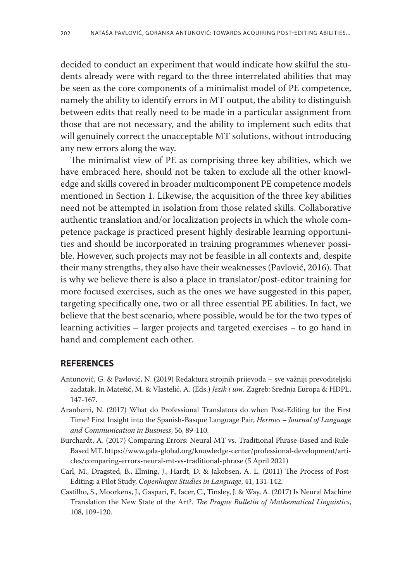decided to conduct an experiment that would indicate how skilful the students already were with regard to the three interrelated abilities that may be seen as the core components of a minimalist model of PE competence, namely the ability to identify errors in MT output, the ability to distinguish between edits that really need to be made in a particular assignment from those that are not necessary, and the ability to implement such edits that will genuinely correct the unacceptable MT solutions, without introducing any new errors along the way.

The minimalist view of PE as comprising three key abilities, which we have embraced here, should not be taken to exclude all the other knowledge and skills covered in broader multicomponent PE competence models mentioned in Section 1. Likewise, the acquisition of the three key abilities need not be attempted in isolation from those related skills. Collaborative authentic translation and/or localization projects in which the whole competence package is practiced present highly desirable learning opportunities and should be incorporated in training programmes whenever possible. However, such projects may not be feasible in all contexts and, despite their many strengths, they also have their weaknesses (Pavlović, 2016). That is why we believe there is also a place in translator/post-editor training for more focused exercises, such as the ones we have suggested in this paper, targeting specifically one, two or all three essential PE abilities. In fact, we believe that the best scenario, where possible, would be for the two types of learning activities – larger projects and targeted exercises – to go hand in hand and complement each other.

#### **REFERENCES**

- Antunović, G. & Pavlović, N. (2019) Redaktura strojnih prijevoda sve važniji prevoditeljski zadatak. In Matešić, M. & Vlastelić, A. (Eds.) *Jezik i um*. Zagreb: Srednja Europa & HDPL, 147-167.
- Aranberri, N. (2017) What do Professional Translators do when Post-Editing for the First Time? First Insight into the Spanish-Basque Language Pair, *Hermes – Journal of Language and Communication in Business*, 56, 89-110.
- Burchardt, A. (2017) Comparing Errors: Neural MT vs. Traditional Phrase-Based and Rule-Based MT. https://www.gala-global.org/knowledge-center/professional-development/articles/comparing-errors-neural-mt-vs-traditional-phrase (5 April 2021)
- Carl, M., Dragsted, B., Elming, J., Hardt, D. & Jakobsen, A. L. (2011) The Process of Post-Editing: a Pilot Study, *Copenhagen Studies in Language*, 41, 131-142.
- Castilho, S., Moorkens, J., Gaspari, F., Iacer, C., Tinsley, J. & Way, A. (2017) Is Neural Machine Translation the New State of the Art?. *The Prague Bulletin of Mathematical Linguistics*, 108, 109-120.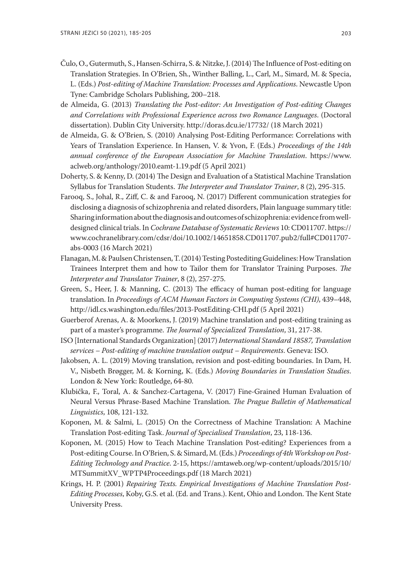- Čulo, O., Gutermuth, S., Hansen-Schirra, S. & Nitzke, J. (2014) The Influence of Post-editing on Translation Strategies. In O'Brien, Sh., Winther Balling, L., Carl, M., Simard, M. & Specia, L. (Eds.) *Post-editing of Machine Translation: Processes and Applications*. Newcastle Upon Tyne: Cambridge Scholars Publishing, 200–218.
- de Almeida, G. (2013) *Translating the Post-editor: An Investigation of Post-editing Changes and Correlations with Professional Experience across two Romance Languages*. (Doctoral dissertation). Dublin City University. http://doras.dcu.ie/17732/ (18 March 2021)
- de Almeida, G. & O'Brien, S. (2010) Analysing Post-Editing Performance: Correlations with Years of Translation Experience. In Hansen, V. & Yvon, F. (Eds.) *Proceedings of the 14th annual conference of the European Association for Machine Translation*. https://www. aclweb.org/anthology/2010.eamt-1.19.pdf (5 April 2021)
- Doherty, S. & Kenny, D. (2014) The Design and Evaluation of a Statistical Machine Translation Syllabus for Translation Students. *The Interpreter and Translator Trainer*, 8 (2), 295-315.
- Farooq, S., Johal, R., Ziff, C. & and Farooq, N. (2017) Different communication strategies for disclosing a diagnosis of schizophrenia and related disorders, Plain language summary title: Sharing information about the diagnosis and outcomes of schizophrenia: evidence from welldesigned clinical trials. In *Cochrane Database of Systematic Reviews* 10: CD011707. https:// www.cochranelibrary.com/cdsr/doi/10.1002/14651858.CD011707.pub2/full#CD011707 abs-0003 (16 March 2021)
- Flanagan, M. & Paulsen Christensen, T. (2014) Testing Postediting Guidelines: How Translation Trainees Interpret them and how to Tailor them for Translator Training Purposes. *The Interpreter and Translator Trainer*, 8 (2), 257-275.
- Green, S., Heer, J. & Manning, C. (2013) The efficacy of human post-editing for language translation. In *Proceedings of ACM Human Factors in Computing Systems (CHI)*, 439–448, http://idl.cs.washington.edu/files/2013-PostEditing-CHI.pdf (5 April 2021)
- Guerberof Arenas, A. & Moorkens, J. (2019) Machine translation and post-editing training as part of a master's programme. *The Journal of Specialized Translation*, 31, 217-38.
- ISO [International Standards Organization] (2017) *International Standard 18587, Translation services – Post-editing of machine translation output – Requirements*. Geneva: ISO.
- Jakobsen, A. L. (2019) Moving translation, revision and post-editing boundaries. In Dam, H. V., Nisbeth Brøgger, M. & Korning, K. (Eds.) *Moving Boundaries in Translation Studies*. London & New York: Routledge, 64-80.
- Klubička, F., Toral, A. & Sanchez-Cartagena, V. (2017) Fine-Grained Human Evaluation of Neural Versus Phrase-Based Machine Translation. *The Prague Bulletin of Mathematical Linguistics*, 108, 121-132.
- Koponen, M. & Salmi, L. (2015) On the Correctness of Machine Translation: A Machine Translation Post-editing Task. *Journal of Specialised Translation*, 23, 118-136.
- Koponen, M. (2015) How to Teach Machine Translation Post-editing? Experiences from a Post-editing Course. In O'Brien, S. & Simard, M. (Eds.) *Proceedings of 4th Workshop on Post-Editing Technology and Practice*. 2-15, https://amtaweb.org/wp-content/uploads/2015/10/ MTSummitXV\_WPTP4Proceedings.pdf (18 March 2021)
- Krings, H. P. (2001) *Repairing Texts. Empirical Investigations of Machine Translation Post-Editing Processes*, Koby, G.S. et al. (Ed. and Trans.). Kent, Ohio and London. The Kent State University Press.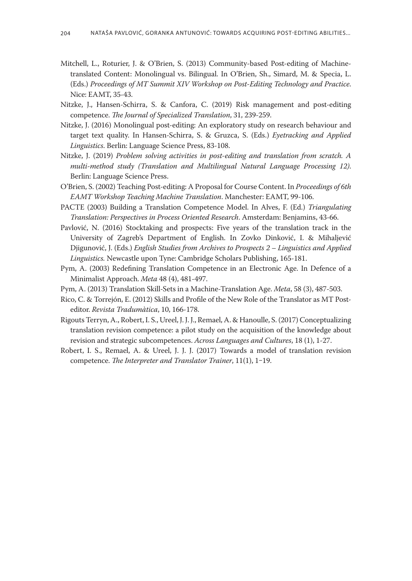- Mitchell, L., Roturier, J. & O'Brien, S. (2013) Community-based Post-editing of Machinetranslated Content: Monolingual vs. Bilingual. In O'Brien, Sh., Simard, M. & Specia, L. (Eds.) *Proceedings of MT Summit XIV Workshop on Post-Editing Technology and Practice*. Nice: EAMT, 35-43.
- Nitzke, J., Hansen-Schirra, S. & Canfora, C. (2019) Risk management and post-editing competence. *The Journal of Specialized Translation*, 31, 239-259.
- Nitzke, J. (2016) Monolingual post-editing: An exploratory study on research behaviour and target text quality. In Hansen-Schirra, S. & Gruzca, S. (Eds.) *Eyetracking and Applied Linguistics*. Berlin: Language Science Press, 83-108.
- Nitzke, J. (2019) *Problem solving activities in post-editing and translation from scratch. A multi-method study (Translation and Multilingual Natural Language Processing 12)*. Berlin: Language Science Press.
- O'Brien, S. (2002) Teaching Post-editing: A Proposal for Course Content. In *Proceedings of 6th EAMT Workshop Teaching Machine Translation*. Manchester: EAMT, 99-106.
- PACTE (2003) Building a Translation Competence Model. In Alves, F. (Ed.) *Triangulating Translation: Perspectives in Process Oriented Research*. Amsterdam: Benjamins, 43-66.
- Pavlović, N. (2016) Stocktaking and prospects: Five years of the translation track in the University of Zagreb's Department of English. In Zovko Dinković, I. & Mihaljević Djigunović, J. (Eds.) *English Studies from Archives to Prospects 2 – Linguistics and Applied Linguistics.* Newcastle upon Tyne: Cambridge Scholars Publishing, 165-181.
- Pym, A. (2003) Redefining Translation Competence in an Electronic Age. In Defence of a Minimalist Approach. *Meta* 48 (4), 481-497.
- Pym, A. (2013) Translation Skill-Sets in a Machine-Translation Age. *Meta*, 58 (3), 487-503.
- Rico, C. & Torrejón, E. (2012) Skills and Profile of the New Role of the Translator as MT Posteditor. *Revista Tradumàtica*, 10, 166-178.
- Rigouts Terryn, A., Robert, I. S., Ureel, J. J. J., Remael, A. & Hanoulle, S. (2017) Conceptualizing translation revision competence: a pilot study on the acquisition of the knowledge about revision and strategic subcompetences. *Across Languages and Cultures*, 18 (1), 1-27.
- Robert, I. S., Remael, A. & Ureel, J. J. J. (2017) Towards a model of translation revision competence. *The Interpreter and Translator Trainer*, 11(1), 1‒19.